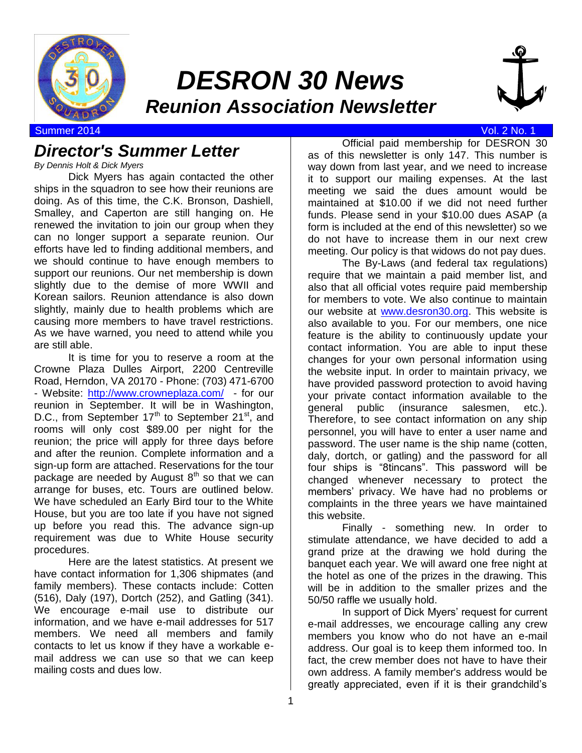

# *DESRON 30 News Reunion Association Newsletter*



Summer 2014 Vol. 2 No. 1

## *Director's Summer Letter*

*By Dennis Holt & Dick Myers*

Dick Myers has again contacted the other ships in the squadron to see how their reunions are doing. As of this time, the C.K. Bronson, Dashiell, Smalley, and Caperton are still hanging on. He renewed the invitation to join our group when they can no longer support a separate reunion. Our efforts have led to finding additional members, and we should continue to have enough members to support our reunions. Our net membership is down slightly due to the demise of more WWII and Korean sailors. Reunion attendance is also down slightly, mainly due to health problems which are causing more members to have travel restrictions. As we have warned, you need to attend while you are still able.

It is time for you to reserve a room at the Crowne Plaza Dulles Airport, 2200 Centreville Road, Herndon, VA 20170 - Phone: (703) 471-6700 - Website:<http://www.crowneplaza.com/>- for our reunion in September. It will be in Washington, D.C., from September  $17<sup>th</sup>$  to September  $21<sup>st</sup>$ , and rooms will only cost \$89.00 per night for the reunion; the price will apply for three days before and after the reunion. Complete information and a sign-up form are attached. Reservations for the tour package are needed by August  $8<sup>th</sup>$  so that we can arrange for buses, etc. Tours are outlined below. We have scheduled an Early Bird tour to the White House, but you are too late if you have not signed up before you read this. The advance sign-up requirement was due to White House security procedures.

Here are the latest statistics. At present we have contact information for 1,306 shipmates (and family members). These contacts include: Cotten (516), Daly (197), Dortch (252), and Gatling (341). We encourage e-mail use to distribute our information, and we have e-mail addresses for 517 members. We need all members and family contacts to let us know if they have a workable email address we can use so that we can keep mailing costs and dues low.

Official paid membership for DESRON 30 as of this newsletter is only 147. This number is way down from last year, and we need to increase it to support our mailing expenses. At the last meeting we said the dues amount would be maintained at \$10.00 if we did not need further funds. Please send in your \$10.00 dues ASAP (a form is included at the end of this newsletter) so we do not have to increase them in our next crew

meeting. Our policy is that widows do not pay dues. The By-Laws (and federal tax regulations) require that we maintain a paid member list, and also that all official votes require paid membership for members to vote. We also continue to maintain our website at [www.desron30.org.](http://www.desron30.org/) This website is also available to you. For our members, one nice feature is the ability to continuously update your contact information. You are able to input these changes for your own personal information using the website input. In order to maintain privacy, we have provided password protection to avoid having your private contact information available to the general public (insurance salesmen, etc.). Therefore, to see contact information on any ship personnel, you will have to enter a user name and password. The user name is the ship name (cotten, daly, dortch, or gatling) and the password for all four ships is "8tincans". This password will be changed whenever necessary to protect the members' privacy. We have had no problems or complaints in the three years we have maintained this website.

Finally - something new. In order to stimulate attendance, we have decided to add a grand prize at the drawing we hold during the banquet each year. We will award one free night at the hotel as one of the prizes in the drawing. This will be in addition to the smaller prizes and the 50/50 raffle we usually hold.

In support of Dick Myers' request for current e-mail addresses, we encourage calling any crew members you know who do not have an e-mail address. Our goal is to keep them informed too. In fact, the crew member does not have to have their own address. A family member's address would be greatly appreciated, even if it is their grandchild's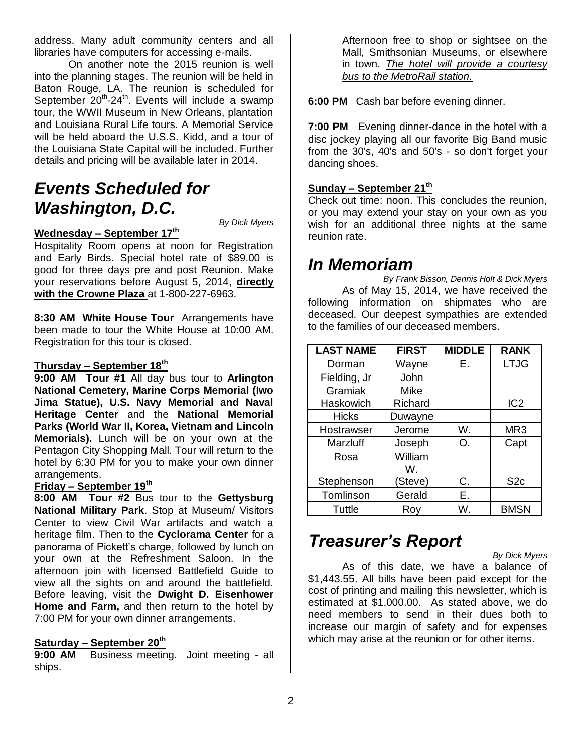address. Many adult community centers and all libraries have computers for accessing e-mails.

On another note the 2015 reunion is well into the planning stages. The reunion will be held in Baton Rouge, LA. The reunion is scheduled for September  $20^{th}$ -24<sup>th</sup>. Events will include a swamp tour, the WWII Museum in New Orleans, plantation and Louisiana Rural Life tours. A Memorial Service will be held aboard the U.S.S. Kidd, and a tour of the Louisiana State Capital will be included. Further details and pricing will be available later in 2014.

## *Events Scheduled for Washington, D.C.*

*By Dick Myers*

## **Wednesday – September 17th**

Hospitality Room opens at noon for Registration and Early Birds. Special hotel rate of \$89.00 is good for three days pre and post Reunion. Make your reservations before August 5, 2014, **directly with the Crowne Plaza** at 1-800-227-6963.

**8:30 AM White House Tour** Arrangements have been made to tour the White House at 10:00 AM. Registration for this tour is closed.

### **Thursday – September 18th**

**9:00 AM Tour #1** All day bus tour to **Arlington National Cemetery, Marine Corps Memorial (Iwo Jima Statue), U.S. Navy Memorial and Naval Heritage Center** and the **National Memorial Parks (World War II, Korea, Vietnam and Lincoln Memorials).** Lunch will be on your own at the Pentagon City Shopping Mall. Tour will return to the hotel by 6:30 PM for you to make your own dinner arrangements.

### **Friday – September 19th**

**8:00 AM Tour #2** Bus tour to the **Gettysburg National Military Park**. Stop at Museum/ Visitors Center to view Civil War artifacts and watch a heritage film. Then to the **Cyclorama Center** for a panorama of Pickett's charge, followed by lunch on your own at the Refreshment Saloon. In the afternoon join with licensed Battlefield Guide to view all the sights on and around the battlefield. Before leaving, visit the **Dwight D. Eisenhower Home and Farm,** and then return to the hotel by 7:00 PM for your own dinner arrangements.

### **Saturday – September 20th**

**9:00 AM** Business meeting. Joint meeting - all ships.

Afternoon free to shop or sightsee on the Mall, Smithsonian Museums, or elsewhere in town. *The hotel will provide a courtesy bus to the MetroRail station.*

**6:00 PM** Cash bar before evening dinner.

**7:00 PM** Evening dinner-dance in the hotel with a disc jockey playing all our favorite Big Band music from the 30's, 40's and 50's - so don't forget your dancing shoes.

### **Sunday – September 21th**

Check out time: noon. This concludes the reunion, or you may extend your stay on your own as you wish for an additional three nights at the same reunion rate.

## *In Memoriam*

*By Frank Bisson, Dennis Holt & Dick Myers* As of May 15, 2014, we have received the following information on shipmates who are deceased. Our deepest sympathies are extended to the families of our deceased members.

| <b>LAST NAME</b> | <b>FIRST</b> | <b>MIDDLE</b> | <b>RANK</b>     |
|------------------|--------------|---------------|-----------------|
| Dorman           | Wayne        | Е.            | <b>LTJG</b>     |
| Fielding, Jr     | John         |               |                 |
| Gramiak          | Mike         |               |                 |
| Haskowich        | Richard      |               | IC <sub>2</sub> |
| <b>Hicks</b>     | Duwayne      |               |                 |
| Hostrawser       | Jerome       | W.            | MR <sub>3</sub> |
| Marzluff         | Joseph       | O.            | Capt            |
| Rosa             | William      |               |                 |
|                  | W.           |               |                 |
| Stephenson       | (Steve)      | C.            | S <sub>2c</sub> |
| Tomlinson        | Gerald       | Е.            |                 |
| Tuttle           | Rov          | W.            | <b>BMSN</b>     |

## *Treasurer's Report*

*By Dick Myers* As of this date, we have a balance of \$1,443.55. All bills have been paid except for the cost of printing and mailing this newsletter, which is estimated at \$1,000.00. As stated above, we do need members to send in their dues both to increase our margin of safety and for expenses which may arise at the reunion or for other items.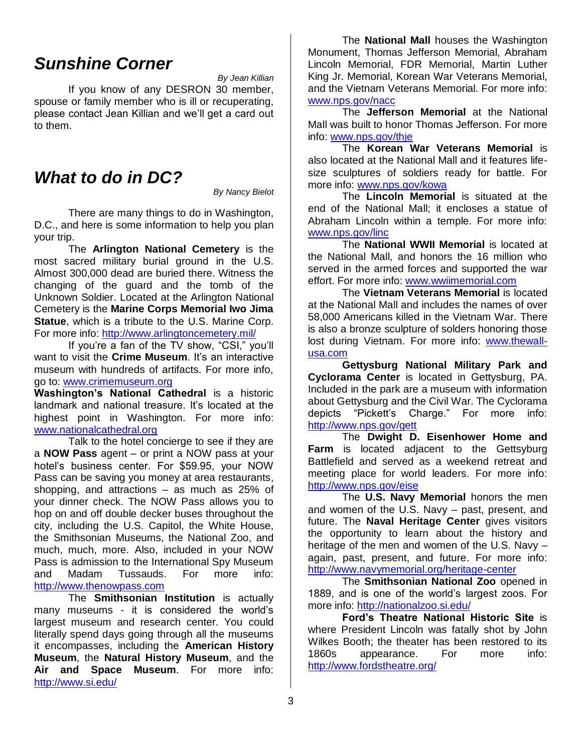## *Sunshine Corner*

*By Jean Killian*

If you know of any DESRON 30 member, spouse or family member who is ill or recuperating, please contact Jean Killian and we'll get a card out to them.

## *What to do in DC?*

*By Nancy Bielot*

There are many things to do in Washington, D.C., and here is some information to help you plan your trip.

The **Arlington National Cemetery** is the most sacred military burial ground in the U.S. Almost 300,000 dead are buried there. Witness the changing of the guard and the tomb of the Unknown Soldier. Located at the Arlington National Cemetery is the **Marine Corps Memorial Iwo Jima Statue**, which is a tribute to the U.S. Marine Corp. For more info:<http://www.arlingtoncemetery.mil/>

If you're a fan of the TV show, "CSI," you'll want to visit the **Crime Museum**. It's an interactive museum with hundreds of artifacts. For more info, go to: [www.crimemuseum.org](http://www.crimemuseum.org/)

**Washington's National Cathedral** is a historic landmark and national treasure. It's located at the highest point in Washington. For more info: [www.nationalcathedral.org](http://www.nationalcathedral.org/)

Talk to the hotel concierge to see if they are a **NOW Pass** agent – or print a NOW pass at your hotel's business center. For \$59.95, your NOW Pass can be saving you money at area restaurants, shopping, and attractions – as much as 25% of your dinner check. The NOW Pass allows you to hop on and off double decker buses throughout the city, including the U.S. Capitol, the White House, the Smithsonian Museums, the National Zoo, and much, much, more. Also, included in your NOW Pass is admission to the International Spy Museum and Madam Tussauds. For more info: [http://www.thenowpass.com](http://www.thenowpass.com/)

The **Smithsonian Institution** is actually many museums - it is considered the world's largest museum and research center. You could literally spend days going through all the museums it encompasses, including the **American History Museum**, the **Natural History Museum**, and the **Air and Space Museum**. For more info: <http://www.si.edu/>

The **National Mall** houses the Washington Monument, Thomas Jefferson Memorial, Abraham Lincoln Memorial, FDR Memorial, Martin Luther King Jr. Memorial, Korean War Veterans Memorial, and the Vietnam Veterans Memorial. For more info: [www.nps.gov/nacc](http://www.nps.gov/nacc)

The **Jefferson Memorial** at the National Mall was built to honor Thomas Jefferson. For more info: [www.nps.gov/thje](http://www.nps.gov/thje)

The **Korean War Veterans Memorial** is also located at the National Mall and it features lifesize sculptures of soldiers ready for battle. For more info: [www.nps.gov/kowa](http://www.nps.gov/kowa)

The **Lincoln Memorial** is situated at the end of the National Mall; it encloses a statue of Abraham Lincoln within a temple. For more info: [www.nps.gov/linc](http://www.nps.gov/linc)

The **National WWII Memorial** is located at the National Mall, and honors the 16 million who served in the armed forces and supported the war effort. For more info: [www.wwiimemorial.com](http://www.wwiimemorial.com/)

The **Vietnam Veterans Memorial** is located at the National Mall and includes the names of over 58,000 Americans killed in the Vietnam War. There is also a bronze sculpture of solders honoring those lost during Vietnam. For more info: [www.thewall](http://www.thewall-usa.com/)[usa.com](http://www.thewall-usa.com/)

**Gettysburg National Military Park and Cyclorama Center** is located in Gettysburg, PA. Included in the park are a museum with information about Gettysburg and the Civil War. The Cyclorama depicts "Pickett's Charge." For more info: <http://www.nps.gov/gett>

The **Dwight D. Eisenhower Home and Farm** is located adjacent to the Gettsyburg Battlefield and served as a weekend retreat and meeting place for world leaders. For more info: <http://www.nps.gov/eise>

The **U.S. Navy Memorial** honors the men and women of the U.S. Navy – past, present, and future. The **Naval Heritage Center** gives visitors the opportunity to learn about the history and heritage of the men and women of the U.S. Navy – again, past, present, and future. For more info: <http://www.navymemorial.org/heritage-center>

The **Smithsonian National Zoo** opened in 1889, and is one of the world's largest zoos. For more info:<http://nationalzoo.si.edu/>

**Ford's Theatre National Historic Site** is where President Lincoln was fatally shot by John Wilkes Booth; the theater has been restored to its 1860s appearance. For more info: <http://www.fordstheatre.org/>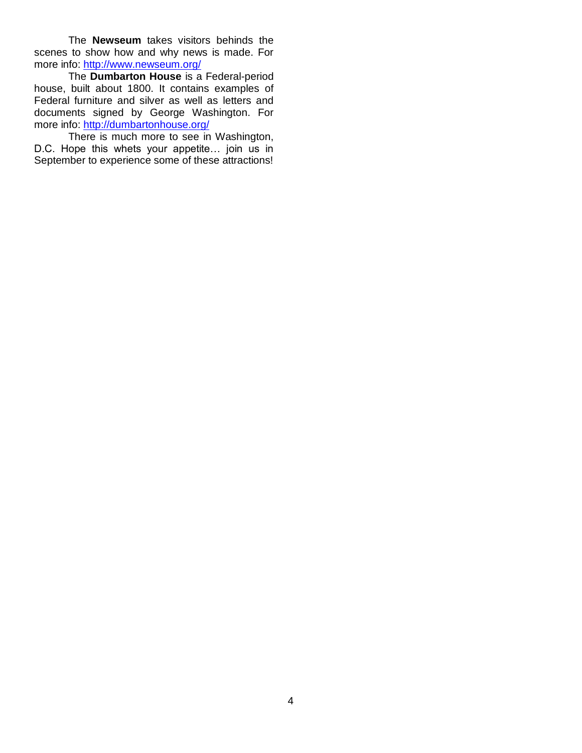The **Newseum** takes visitors behinds the scenes to show how and why news is made. For more info:<http://www.newseum.org/>

The **Dumbarton House** is a Federal-period house, built about 1800. It contains examples of Federal furniture and silver as well as letters and documents signed by George Washington. For more info:<http://dumbartonhouse.org/>

There is much more to see in Washington, D.C. Hope this whets your appetite… join us in September to experience some of these attractions!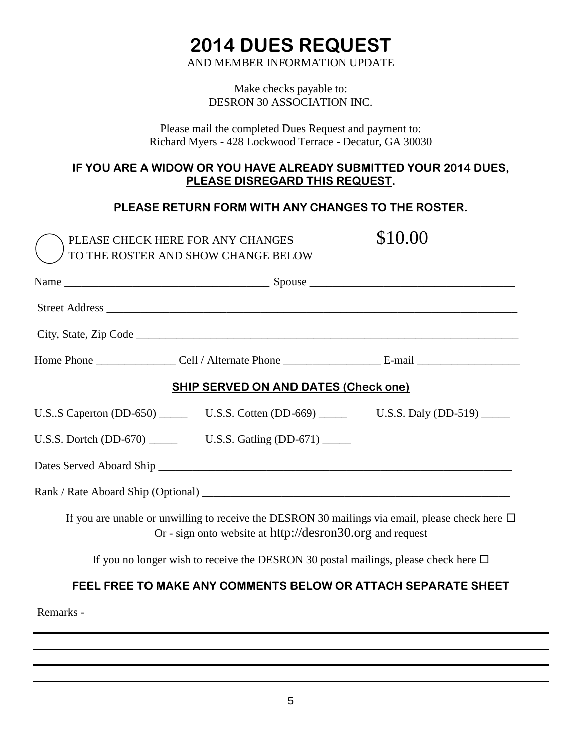# **2014 DUES REQUEST**

AND MEMBER INFORMATION UPDATE

Make checks payable to: DESRON 30 ASSOCIATION INC.

Please mail the completed Dues Request and payment to: Richard Myers - 428 Lockwood Terrace - Decatur, GA 30030

## **IF YOU ARE A WIDOW OR YOU HAVE ALREADY SUBMITTED YOUR 2014 DUES, PLEASE DISREGARD THIS REQUEST.**

## **PLEASE RETURN FORM WITH ANY CHANGES TO THE ROSTER.**

| PLEASE CHECK HERE FOR ANY CHANGES<br>TO THE ROSTER AND SHOW CHANGE BELOW                                  | \$10.00                                                                                              |
|-----------------------------------------------------------------------------------------------------------|------------------------------------------------------------------------------------------------------|
|                                                                                                           |                                                                                                      |
|                                                                                                           |                                                                                                      |
|                                                                                                           |                                                                                                      |
|                                                                                                           |                                                                                                      |
| <b>SHIP SERVED ON AND DATES (Check one)</b>                                                               |                                                                                                      |
| U.S. S Caperton (DD-650) _________ U.S. S. Cotten (DD-669) ________________ U.S. S. Daly (DD-519) _______ |                                                                                                      |
|                                                                                                           |                                                                                                      |
|                                                                                                           |                                                                                                      |
|                                                                                                           |                                                                                                      |
| Or - sign onto website at http://desron30.org and request                                                 | If you are unable or unwilling to receive the DESRON 30 mailings via email, please check here $\Box$ |
| If you no longer wish to receive the DESRON 30 postal mailings, please check here $\Box$                  |                                                                                                      |

## **FEEL FREE TO MAKE ANY COMMENTS BELOW OR ATTACH SEPARATE SHEET**

Remarks -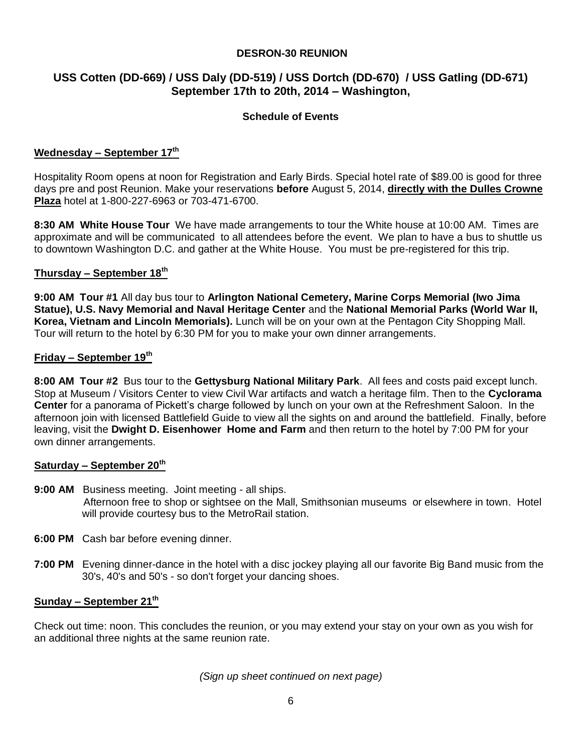### **DESRON-30 REUNION**

### **USS Cotten (DD-669) / USS Daly (DD-519) / USS Dortch (DD-670) / USS Gatling (DD-671) September 17th to 20th, 2014 – Washington,**

### **Schedule of Events**

### **Wednesday – September 17th**

Hospitality Room opens at noon for Registration and Early Birds. Special hotel rate of \$89.00 is good for three days pre and post Reunion. Make your reservations **before** August 5, 2014, **directly with the Dulles Crowne Plaza** hotel at 1-800-227-6963 or 703-471-6700.

**8:30 AM White House Tour** We have made arrangements to tour the White house at 10:00 AM. Times are approximate and will be communicated to all attendees before the event. We plan to have a bus to shuttle us to downtown Washington D.C. and gather at the White House. You must be pre-registered for this trip.

#### **Thursday – September 18th**

**9:00 AM Tour #1** All day bus tour to **Arlington National Cemetery, Marine Corps Memorial (Iwo Jima Statue), U.S. Navy Memorial and Naval Heritage Center** and the **National Memorial Parks (World War II, Korea, Vietnam and Lincoln Memorials).** Lunch will be on your own at the Pentagon City Shopping Mall. Tour will return to the hotel by 6:30 PM for you to make your own dinner arrangements.

#### **Friday – September 19th**

**8:00 AM Tour #2** Bus tour to the **Gettysburg National Military Park**. All fees and costs paid except lunch. Stop at Museum / Visitors Center to view Civil War artifacts and watch a heritage film. Then to the **Cyclorama Center** for a panorama of Pickett's charge followed by lunch on your own at the Refreshment Saloon. In the afternoon join with licensed Battlefield Guide to view all the sights on and around the battlefield. Finally, before leaving, visit the **Dwight D. Eisenhower Home and Farm** and then return to the hotel by 7:00 PM for your own dinner arrangements.

#### **Saturday – September 20th**

- **9:00 AM** Business meeting. Joint meeting all ships. Afternoon free to shop or sightsee on the Mall, Smithsonian museums or elsewhere in town. Hotel will provide courtesy bus to the MetroRail station.
- **6:00 PM** Cash bar before evening dinner.
- **7:00 PM** Evening dinner-dance in the hotel with a disc jockey playing all our favorite Big Band music from the 30's, 40's and 50's - so don't forget your dancing shoes.

#### **Sunday – September 21th**

Check out time: noon. This concludes the reunion, or you may extend your stay on your own as you wish for an additional three nights at the same reunion rate.

*(Sign up sheet continued on next page)*